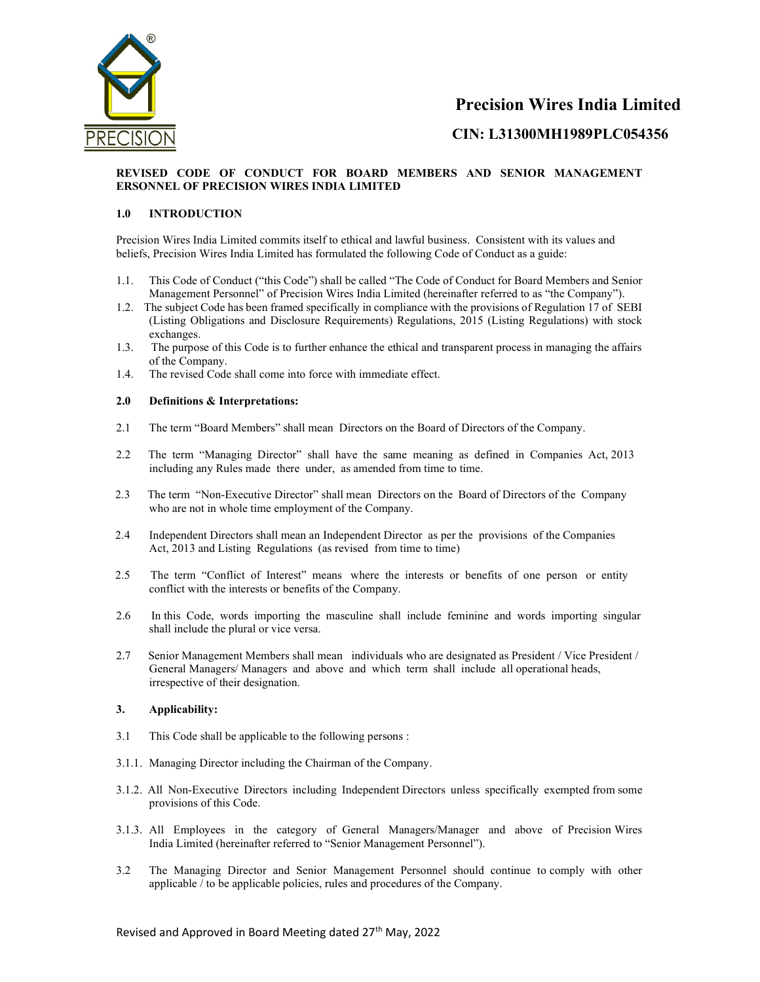

## CIN: L31300MH1989PLC054356

## REVISED CODE OF CONDUCT FOR BOARD MEMBERS AND SENIOR MANAGEMENT ERSONNEL OF PRECISION WIRES INDIA LIMITED

## 1.0 INTRODUCTION

Precision Wires India Limited commits itself to ethical and lawful business. Consistent with its values and beliefs, Precision Wires India Limited has formulated the following Code of Conduct as a guide:

- 1.1. This Code of Conduct ("this Code") shall be called "The Code of Conduct for Board Members and Senior Management Personnel" of Precision Wires India Limited (hereinafter referred to as "the Company").
- 1.2. The subject Code has been framed specifically in compliance with the provisions of Regulation 17 of SEBI (Listing Obligations and Disclosure Requirements) Regulations, 2015 (Listing Regulations) with stock exchanges.
- 1.3. The purpose of this Code is to further enhance the ethical and transparent process in managing the affairs of the Company.
- 1.4. The revised Code shall come into force with immediate effect.

## 2.0 Definitions & Interpretations:

- 2.1 The term "Board Members" shall mean Directors on the Board of Directors of the Company.
- 2.2 The term "Managing Director" shall have the same meaning as defined in Companies Act, 2013 including any Rules made there under, as amended from time to time.
- 2.3 The term "Non-Executive Director" shall mean Directors on the Board of Directors of the Company who are not in whole time employment of the Company.
- 2.4 Independent Directors shall mean an Independent Director as per the provisions of the Companies Act, 2013 and Listing Regulations (as revised from time to time)
- 2.5 The term "Conflict of Interest" means where the interests or benefits of one person or entity conflict with the interests or benefits of the Company.
- 2.6 In this Code, words importing the masculine shall include feminine and words importing singular shall include the plural or vice versa.
- 2.7 Senior Management Members shall mean individuals who are designated as President / Vice President / General Managers/ Managers and above and which term shall include all operational heads, irrespective of their designation.

## 3. Applicability:

- 3.1 This Code shall be applicable to the following persons :
- 3.1.1. Managing Director including the Chairman of the Company.
- 3.1.2. All Non-Executive Directors including Independent Directors unless specifically exempted from some provisions of this Code.
- 3.1.3. All Employees in the category of General Managers/Manager and above of Precision Wires India Limited (hereinafter referred to "Senior Management Personnel").
- 3.2 The Managing Director and Senior Management Personnel should continue to comply with other applicable / to be applicable policies, rules and procedures of the Company.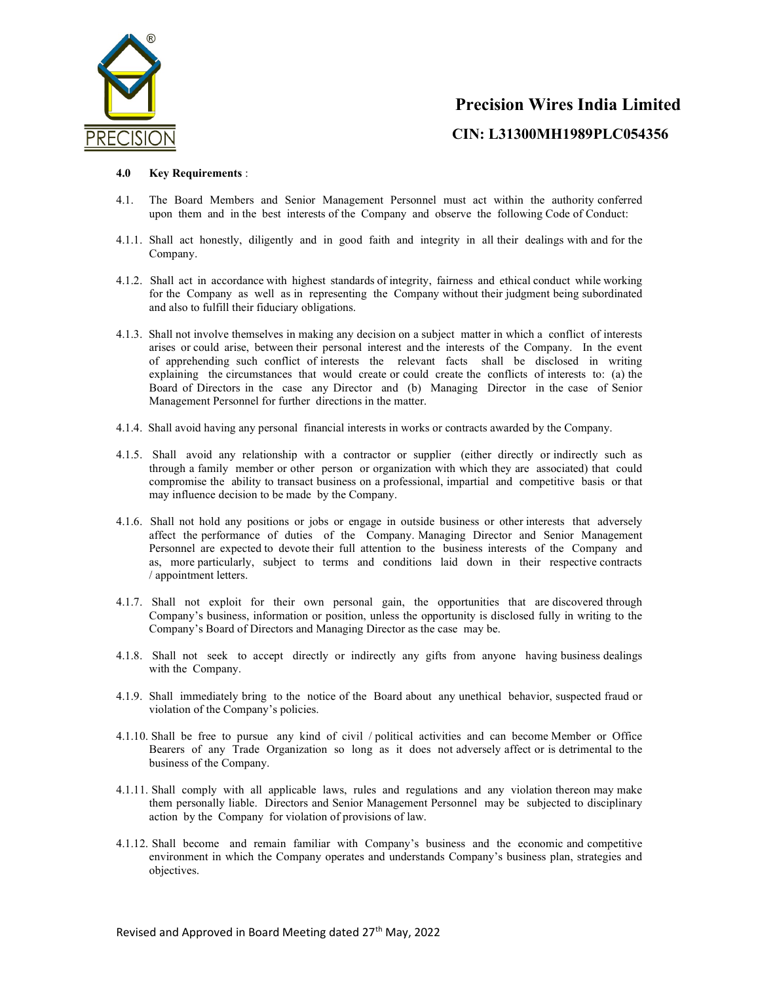

#### 4.0 Key Requirements :

- 4.1. The Board Members and Senior Management Personnel must act within the authority conferred upon them and in the best interests of the Company and observe the following Code of Conduct:
- 4.1.1. Shall act honestly, diligently and in good faith and integrity in all their dealings with and for the Company.
- 4.1.2. Shall act in accordance with highest standards of integrity, fairness and ethical conduct while working for the Company as well as in representing the Company without their judgment being subordinated and also to fulfill their fiduciary obligations.
- 4.1.3. Shall not involve themselves in making any decision on a subject matter in which a conflict of interests arises or could arise, between their personal interest and the interests of the Company. In the event of apprehending such conflict of interests the relevant facts shall be disclosed in writing explaining the circumstances that would create or could create the conflicts of interests to: (a) the Board of Directors in the case any Director and (b) Managing Director in the case of Senior Management Personnel for further directions in the matter.
- 4.1.4. Shall avoid having any personal financial interests in works or contracts awarded by the Company.
- 4.1.5. Shall avoid any relationship with a contractor or supplier (either directly or indirectly such as through a family member or other person or organization with which they are associated) that could compromise the ability to transact business on a professional, impartial and competitive basis or that may influence decision to be made by the Company.
- 4.1.6. Shall not hold any positions or jobs or engage in outside business or other interests that adversely affect the performance of duties of the Company. Managing Director and Senior Management Personnel are expected to devote their full attention to the business interests of the Company and as, more particularly, subject to terms and conditions laid down in their respective contracts / appointment letters.
- 4.1.7. Shall not exploit for their own personal gain, the opportunities that are discovered through Company's business, information or position, unless the opportunity is disclosed fully in writing to the Company's Board of Directors and Managing Director as the case may be.
- 4.1.8. Shall not seek to accept directly or indirectly any gifts from anyone having business dealings with the Company.
- 4.1.9. Shall immediately bring to the notice of the Board about any unethical behavior, suspected fraud or violation of the Company's policies.
- 4.1.10. Shall be free to pursue any kind of civil / political activities and can become Member or Office Bearers of any Trade Organization so long as it does not adversely affect or is detrimental to the business of the Company.
- 4.1.11. Shall comply with all applicable laws, rules and regulations and any violation thereon may make them personally liable. Directors and Senior Management Personnel may be subjected to disciplinary action by the Company for violation of provisions of law.
- 4.1.12. Shall become and remain familiar with Company's business and the economic and competitive environment in which the Company operates and understands Company's business plan, strategies and objectives.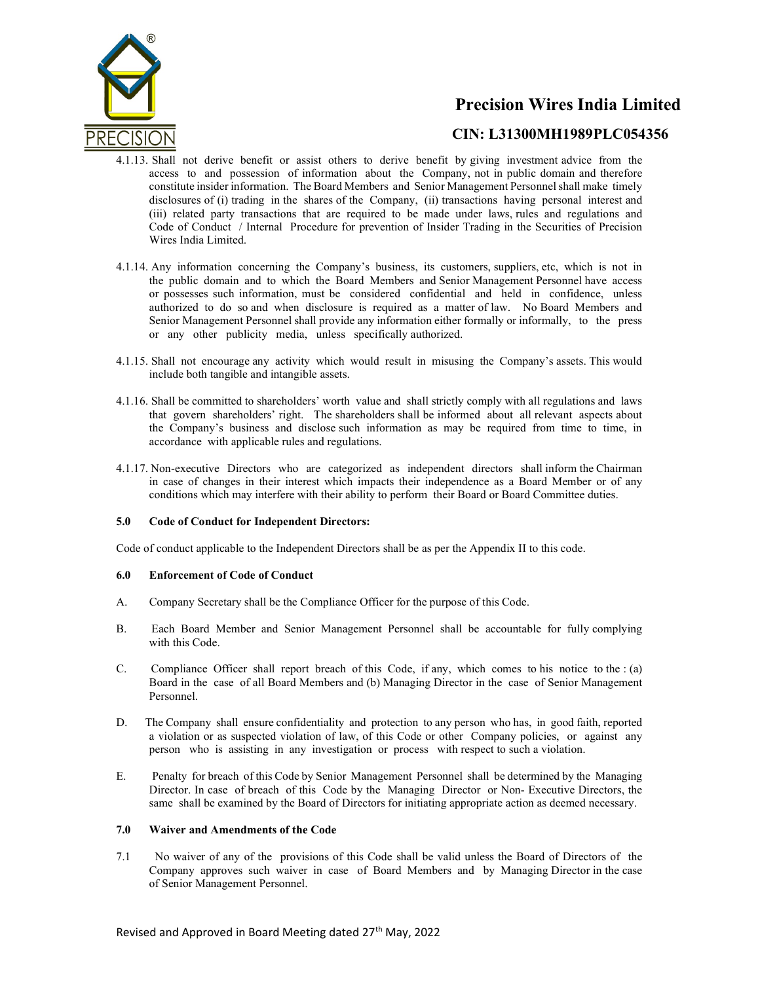

## CIN: L31300MH1989PLC054356

- 4.1.13. Shall not derive benefit or assist others to derive benefit by giving investment advice from the access to and possession of information about the Company, not in public domain and therefore constitute insider information. The Board Members and Senior Management Personnel shall make timely disclosures of (i) trading in the shares of the Company, (ii) transactions having personal interest and (iii) related party transactions that are required to be made under laws, rules and regulations and Code of Conduct / Internal Procedure for prevention of Insider Trading in the Securities of Precision Wires India Limited.
- 4.1.14. Any information concerning the Company's business, its customers, suppliers, etc, which is not in the public domain and to which the Board Members and Senior Management Personnel have access or possesses such information, must be considered confidential and held in confidence, unless authorized to do so and when disclosure is required as a matter of law. No Board Members and Senior Management Personnel shall provide any information either formally or informally, to the press or any other publicity media, unless specifically authorized.
- 4.1.15. Shall not encourage any activity which would result in misusing the Company's assets. This would include both tangible and intangible assets.
- 4.1.16. Shall be committed to shareholders' worth value and shall strictly comply with all regulations and laws that govern shareholders' right. The shareholders shall be informed about all relevant aspects about the Company's business and disclose such information as may be required from time to time, in accordance with applicable rules and regulations.
- 4.1.17. Non-executive Directors who are categorized as independent directors shall inform the Chairman in case of changes in their interest which impacts their independence as a Board Member or of any conditions which may interfere with their ability to perform their Board or Board Committee duties.

## 5.0 Code of Conduct for Independent Directors:

Code of conduct applicable to the Independent Directors shall be as per the Appendix II to this code.

## 6.0 Enforcement of Code of Conduct

- A. Company Secretary shall be the Compliance Officer for the purpose of this Code.
- B. Each Board Member and Senior Management Personnel shall be accountable for fully complying with this Code.
- C. Compliance Officer shall report breach of this Code, if any, which comes to his notice to the : (a) Board in the case of all Board Members and (b) Managing Director in the case of Senior Management Personnel.
- D. The Company shall ensure confidentiality and protection to any person who has, in good faith, reported a violation or as suspected violation of law, of this Code or other Company policies, or against any person who is assisting in any investigation or process with respect to such a violation.
- E. Penalty for breach of this Code by Senior Management Personnel shall be determined by the Managing Director. In case of breach of this Code by the Managing Director or Non- Executive Directors, the same shall be examined by the Board of Directors for initiating appropriate action as deemed necessary.

## 7.0 Waiver and Amendments of the Code

7.1 No waiver of any of the provisions of this Code shall be valid unless the Board of Directors of the Company approves such waiver in case of Board Members and by Managing Director in the case of Senior Management Personnel.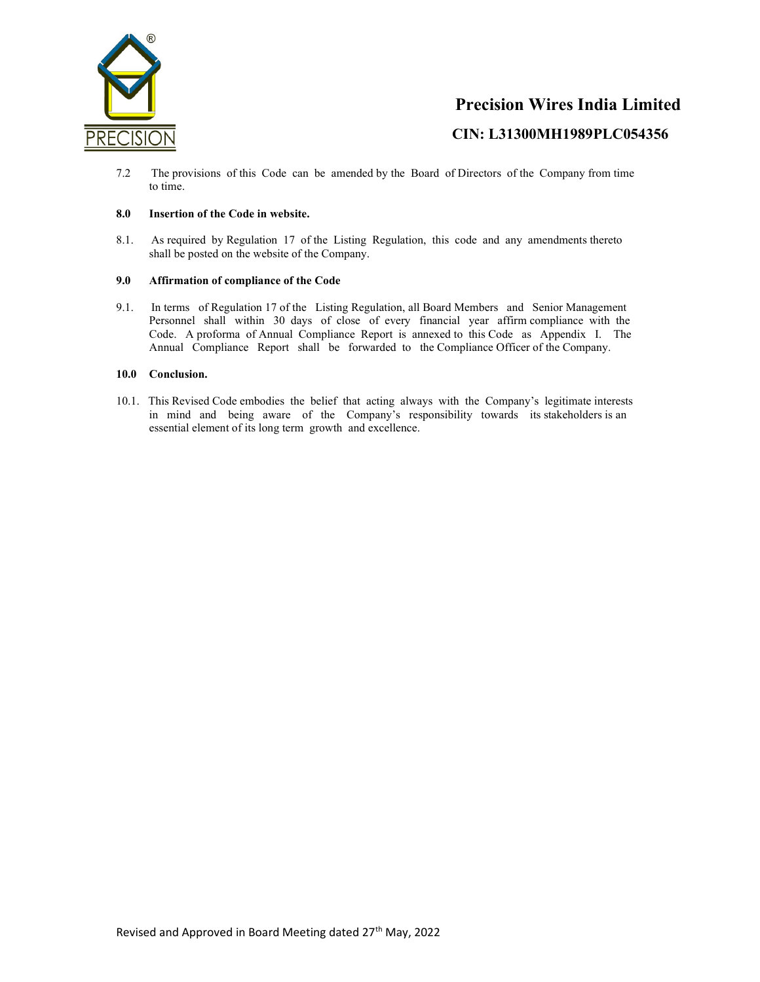

7.2 The provisions of this Code can be amended by the Board of Directors of the Company from time to time.

## 8.0 Insertion of the Code in website.

8.1. As required by Regulation 17 of the Listing Regulation, this code and any amendments thereto shall be posted on the website of the Company.

## 9.0 Affirmation of compliance of the Code

9.1. In terms of Regulation 17 of the Listing Regulation, all Board Members and Senior Management Personnel shall within 30 days of close of every financial year affirm compliance with the Code. A proforma of Annual Compliance Report is annexed to this Code as Appendix I. The Annual Compliance Report shall be forwarded to the Compliance Officer of the Company.

## 10.0 Conclusion.

10.1. This Revised Code embodies the belief that acting always with the Company's legitimate interests in mind and being aware of the Company's responsibility towards its stakeholders is an essential element of its long term growth and excellence.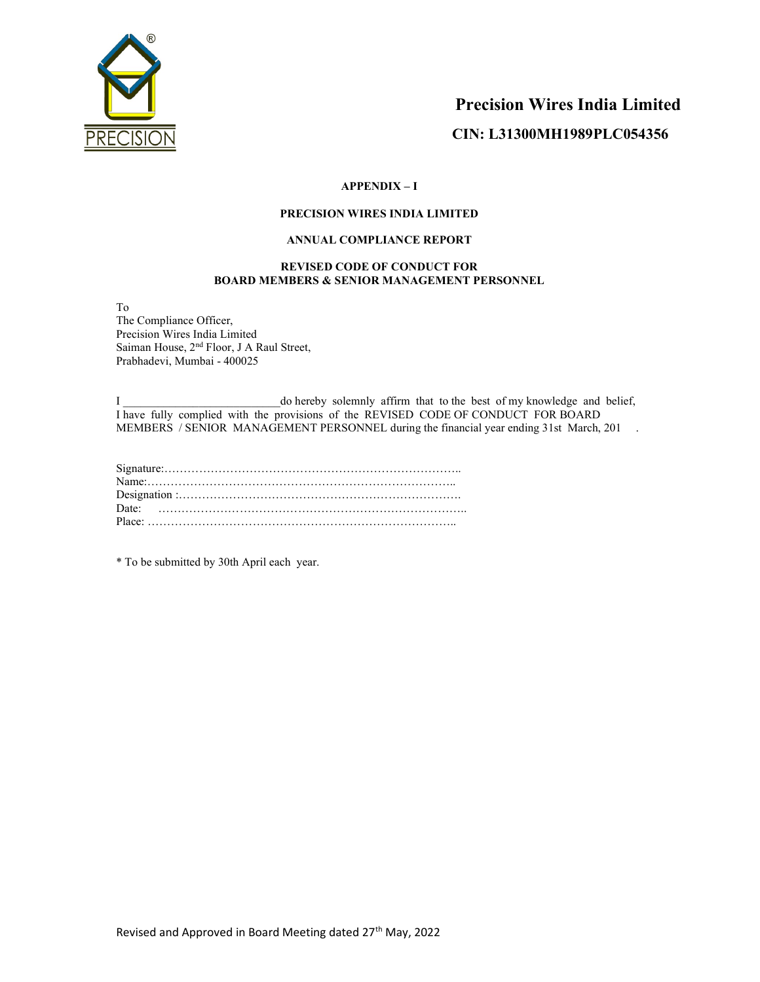

## APPENDIX – I

## PRECISION WIRES INDIA LIMITED

## ANNUAL COMPLIANCE REPORT

## REVISED CODE OF CONDUCT FOR BOARD MEMBERS & SENIOR MANAGEMENT PERSONNEL

To

The Compliance Officer, Precision Wires India Limited Saiman House,  $2<sup>nd</sup>$  Floor, J A Raul Street, Prabhadevi, Mumbai - 400025

I \_\_\_\_\_\_\_\_\_\_\_\_\_\_\_\_\_\_\_\_\_\_\_\_\_\_\_do hereby solemnly affirm that to the best of my knowledge and belief, I have fully complied with the provisions of the REVISED CODE OF CONDUCT FOR BOARD MEMBERS / SENIOR MANAGEMENT PERSONNEL during the financial year ending 31st March, 201.

| Date: $\cdots$ |
|----------------|
|                |

\* To be submitted by 30th April each year.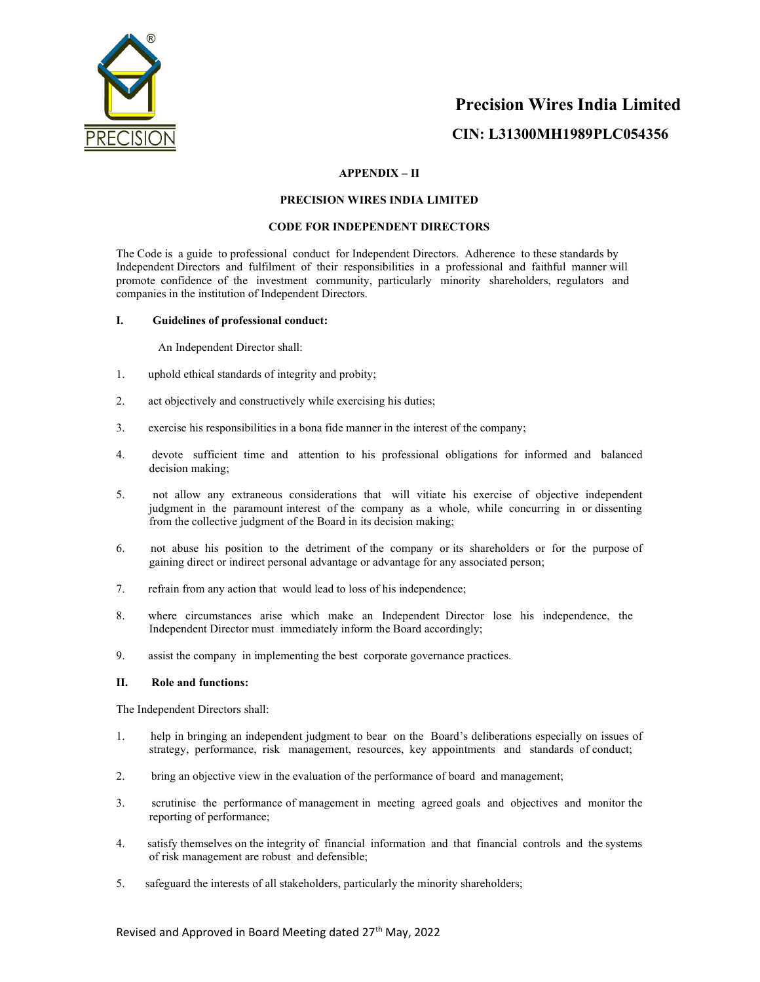

## APPENDIX – II

#### PRECISION WIRES INDIA LIMITED

#### CODE FOR INDEPENDENT DIRECTORS

The Code is a guide to professional conduct for Independent Directors. Adherence to these standards by Independent Directors and fulfilment of their responsibilities in a professional and faithful manner will promote confidence of the investment community, particularly minority shareholders, regulators and companies in the institution of Independent Directors.

#### I. Guidelines of professional conduct:

An Independent Director shall:

- 1. uphold ethical standards of integrity and probity;
- 2. act objectively and constructively while exercising his duties;
- 3. exercise his responsibilities in a bona fide manner in the interest of the company;
- 4. devote sufficient time and attention to his professional obligations for informed and balanced decision making;
- 5. not allow any extraneous considerations that will vitiate his exercise of objective independent judgment in the paramount interest of the company as a whole, while concurring in or dissenting from the collective judgment of the Board in its decision making;
- 6. not abuse his position to the detriment of the company or its shareholders or for the purpose of gaining direct or indirect personal advantage or advantage for any associated person;
- 7. refrain from any action that would lead to loss of his independence;
- 8. where circumstances arise which make an Independent Director lose his independence, the Independent Director must immediately inform the Board accordingly;
- 9. assist the company in implementing the best corporate governance practices.

## II. Role and functions:

The Independent Directors shall:

- 1. help in bringing an independent judgment to bear on the Board's deliberations especially on issues of strategy, performance, risk management, resources, key appointments and standards of conduct;
- 2. bring an objective view in the evaluation of the performance of board and management;
- 3. scrutinise the performance of management in meeting agreed goals and objectives and monitor the reporting of performance;
- 4. satisfy themselves on the integrity of financial information and that financial controls and the systems of risk management are robust and defensible;
- 5. safeguard the interests of all stakeholders, particularly the minority shareholders;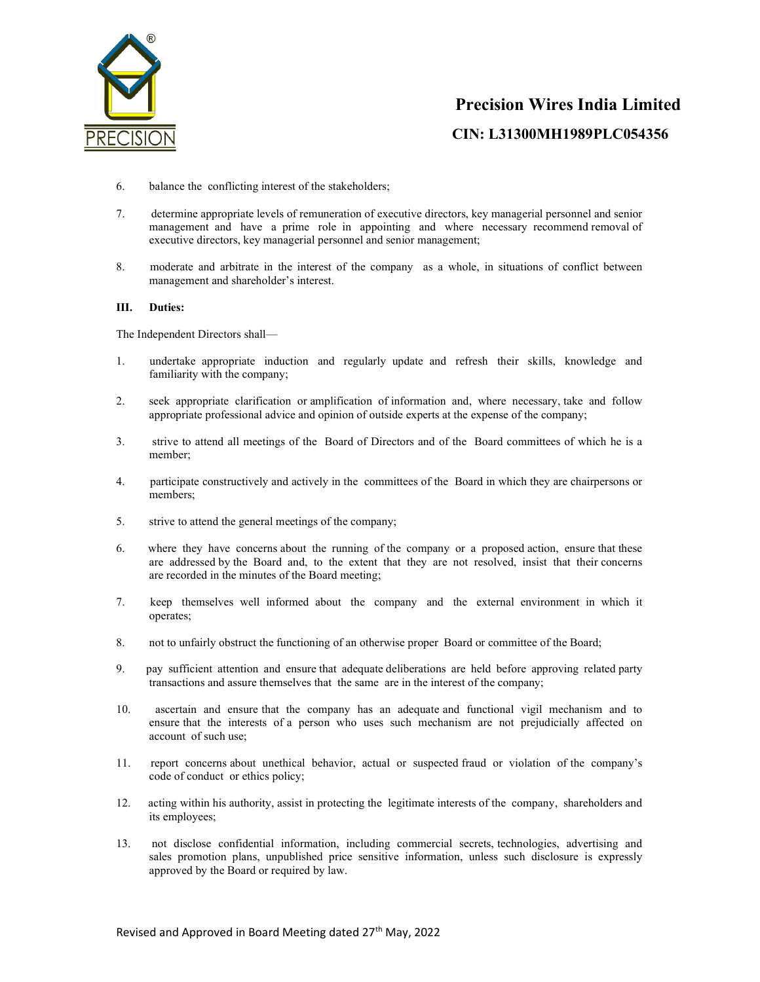

- 6. balance the conflicting interest of the stakeholders;
- 7. determine appropriate levels of remuneration of executive directors, key managerial personnel and senior management and have a prime role in appointing and where necessary recommend removal of executive directors, key managerial personnel and senior management;
- 8. moderate and arbitrate in the interest of the company as a whole, in situations of conflict between management and shareholder's interest.

## III. Duties:

The Independent Directors shall—

- 1. undertake appropriate induction and regularly update and refresh their skills, knowledge and familiarity with the company;
- 2. seek appropriate clarification or amplification of information and, where necessary, take and follow appropriate professional advice and opinion of outside experts at the expense of the company;
- 3. strive to attend all meetings of the Board of Directors and of the Board committees of which he is a member;
- 4. participate constructively and actively in the committees of the Board in which they are chairpersons or members;
- 5. strive to attend the general meetings of the company;
- 6. where they have concerns about the running of the company or a proposed action, ensure that these are addressed by the Board and, to the extent that they are not resolved, insist that their concerns are recorded in the minutes of the Board meeting;
- 7. keep themselves well informed about the company and the external environment in which it operates;
- 8. not to unfairly obstruct the functioning of an otherwise proper Board or committee of the Board;
- 9. pay sufficient attention and ensure that adequate deliberations are held before approving related party transactions and assure themselves that the same are in the interest of the company;
- 10. ascertain and ensure that the company has an adequate and functional vigil mechanism and to ensure that the interests of a person who uses such mechanism are not prejudicially affected on account of such use;
- 11. report concerns about unethical behavior, actual or suspected fraud or violation of the company's code of conduct or ethics policy;
- 12. acting within his authority, assist in protecting the legitimate interests of the company, shareholders and its employees;
- 13. not disclose confidential information, including commercial secrets, technologies, advertising and sales promotion plans, unpublished price sensitive information, unless such disclosure is expressly approved by the Board or required by law.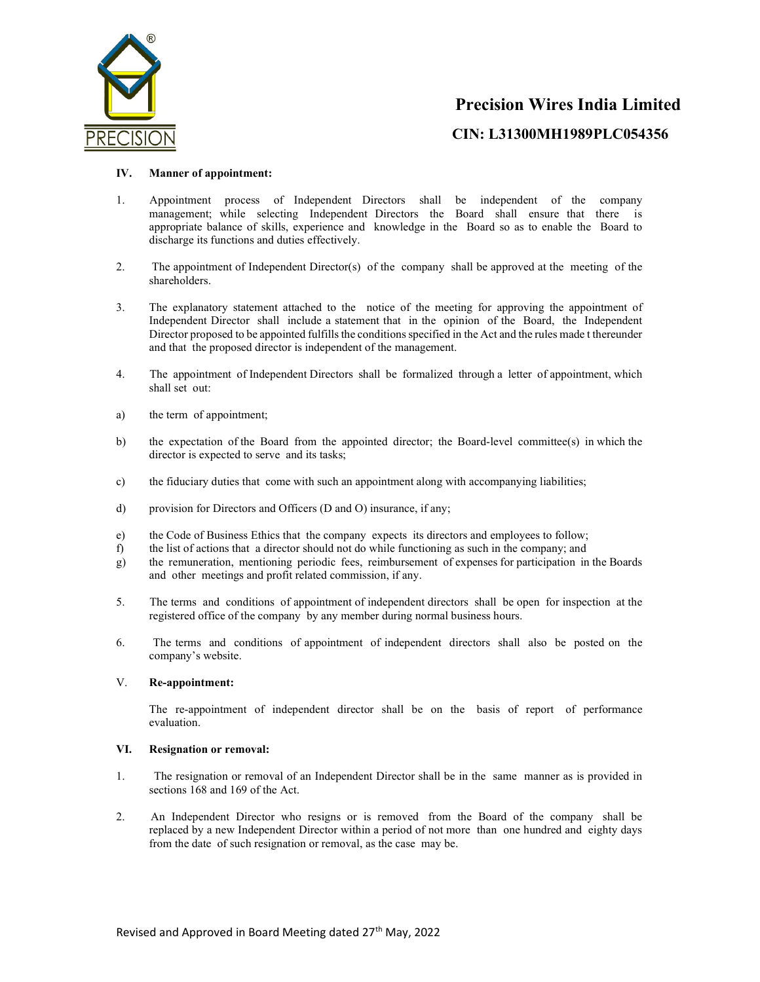

CIN: L31300MH1989PLC054356

## IV. Manner of appointment:

- 1. Appointment process of Independent Directors shall be independent of the company management; while selecting Independent Directors the Board shall ensure that there is appropriate balance of skills, experience and knowledge in the Board so as to enable the Board to discharge its functions and duties effectively.
- 2. The appointment of Independent Director(s) of the company shall be approved at the meeting of the shareholders.
- 3. The explanatory statement attached to the notice of the meeting for approving the appointment of Independent Director shall include a statement that in the opinion of the Board, the Independent Director proposed to be appointed fulfills the conditions specified in the Act and the rules made t thereunder and that the proposed director is independent of the management.
- 4. The appointment of Independent Directors shall be formalized through a letter of appointment, which shall set out:
- a) the term of appointment;
- b) the expectation of the Board from the appointed director; the Board-level committee(s) in which the director is expected to serve and its tasks;
- c) the fiduciary duties that come with such an appointment along with accompanying liabilities;
- d) provision for Directors and Officers (D and O) insurance, if any;
- e) the Code of Business Ethics that the company expects its directors and employees to follow;
- f) the list of actions that a director should not do while functioning as such in the company; and
- g) the remuneration, mentioning periodic fees, reimbursement of expenses for participation in the Boards and other meetings and profit related commission, if any.
- 5. The terms and conditions of appointment of independent directors shall be open for inspection at the registered office of the company by any member during normal business hours.
- 6. The terms and conditions of appointment of independent directors shall also be posted on the company's website.

## V. Re-appointment:

The re-appointment of independent director shall be on the basis of report of performance evaluation.

## VI. Resignation or removal:

- 1. The resignation or removal of an Independent Director shall be in the same manner as is provided in sections 168 and 169 of the Act.
- 2. An Independent Director who resigns or is removed from the Board of the company shall be replaced by a new Independent Director within a period of not more than one hundred and eighty days from the date of such resignation or removal, as the case may be.